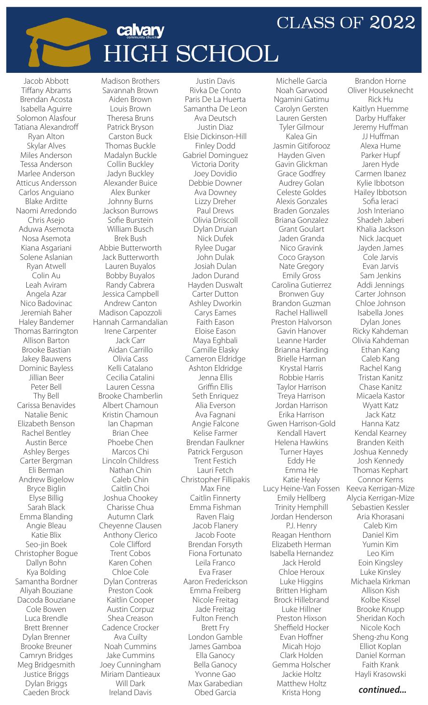## **CLASS OF 2022**

Brandon Horne

## calvary **HIGH SCHOOL**

Jacob Abbott Tiffany Abrams Brendan Acosta Isabella Aguirre Solomon Alasfour Tatiana Alexandroff Ryan Alton Skylar Alves Miles Anderson Tessa Anderson Marlee Anderson Atticus Andersson Carlos Anguiano Blake Arditte Naomi Arredondo Chris Asejo Aduwa Asemota Nosa Asemota Kiana Asgariani Solene Aslanian Ryan Atwell Colin Au Leah Aviram Angela Azar Nico Badovinac Jeremiah Baher Haley Bandemer Thomas Barrington Allison Barton Brooke Bastian Jakey Bauwens Dominic Bayless Jillian Beer Peter Bell Thy Bell Carissa Benavides Natalie Benic Elizabeth Benson Rachel Bentley Austin Berce Ashley Berges Carter Bergman Eli Berman Andrew Bigelow Bryce Biglin Elyse Billig Sarah Black Emma Blanding Angie Bleau Katie Blix Seo-jin Boek Christopher Bogue Dallyn Bohn Kya Bolding Samantha Bordner Aliyah Bouziane Dacoda Bouziane Cole Bowen Luca Brendle Brett Brenner Dylan Brenner Brooke Breuner Camryn Bridges Meg Bridgesmith Justice Briggs Dylan Briggs Caeden Brock

Madison Brothers Savannah Brown Aiden Brown Louis Brown Theresa Bruns Patrick Bryson Carston Buck Thomas Buckle Madalyn Buckle Collin Buckley Jadyn Buckley Alexander Buice Alex Bunker Johnny Burns Jackson Burrows Sofie Burstein William Busch Brek Bush Abbie Butterworth Jack Butterworth Lauren Buyalos Bobby Buyalos Randy Cabrera Jessica Campbell Andrew Canton Madison Capozzoli Hannah Carmandalian Irene Carpenter Jack Carr Aidan Carrillo Olivia Cass Kelli Catalano Cecilia Catalini Lauren Cessna Brooke Chamberlin Albert Chamoun Kristin Chamoun Ian Chapman Brian Chee Phoebe Chen Marcos Chi Lincoln Childress Nathan Chin Caleb Chin Caitlin Choi Joshua Chookey Charisse Chua Autumn Clark Cheyenne Clausen Anthony Clerico Cole Clifford Trent Cobos Karen Cohen Chloe Cole Dylan Contreras Preston Cook Kaitlin Cooper Austin Corpuz Shea Creason Cadence Crocker Ava Cuilty Noah Cummins Jake Cummins Joey Cunningham Miriam Dantieaux Will Dark Ireland Davis

Justin Davis Rivka De Conto Paris De La Huerta Samantha De Leon Ava Deutsch Justin Diaz Elsie Dickinson-Hill Finley Dodd Gabriel Dominguez Victoria Dority Joey Dovidio Debbie Downer Ava Downey Lizzy Dreher Paul Drews Olivia Driscoll Dylan Druian Nick Dufek Rylee Dugar John Dulak Josiah Dulan Jadon Durand Hayden Duswalt Carter Dutton Ashley Dworkin Carys Eames Faith Eason Eloise Eason Maya Eghbali Camille Elasky Cameron Eldridge Ashton Eldridge Jenna Ellis Griffin Ellis Seth Enriquez Alia Everson Ava Fagnani Angie Falcone Kelise Farmer Brendan Faulkner Patrick Ferguson Trent Festich Lauri Fetch Christopher Fillipakis Max Fine Caitlin Finnerty Emma Fishman Raven Flaig Jacob Flanery Jacob Foote Brendan Forsyth Fiona Fortunato Leila Franco Eva Fraser Aaron Frederickson Emma Freiberg Nicole Freitag Jade Freitag Fulton French Brett Fry London Gamble James Gamboa Ella Ganocy Bella Ganocy Yvonne Gao Max Garabedian Obed Garcia

Michelle Garcia Noah Garwood Ngamini Gatimu Carolyn Gersten Lauren Gersten Tyler Gilmour Kalea Gin Jasmin Gitiforooz Hayden Given Gavin Glickman Grace Godfrey Audrey Golan Celeste Goldes Alexis Gonzales Braden Gonzales Briana Gonzalez Grant Goulart Jaden Granda Nico Gravink Coco Grayson Nate Gregory Emily Gross Carolina Gutierrez Bronwen Guy Brandon Guzman Rachel Halliwell Preston Halvorson Gavin Hanover Leanne Harder Brianna Harding Brielle Harman Krystal Harris Robbie Harris Taylor Harrison Treya Harrison Jordan Harrison Erika Harrison Gwen Harrison-Gold Kendall Havert Helena Hawkins Turner Hayes Eddy He Emma He Katie Healy Lucy Heine-Van Fossen Emily Hellberg Trinity Hemphill Jordan Henderson P.J. Henry Reagan Henthorn Elizabeth Herman Isabella Hernandez Jack Herold Chloe Heroux Luke Higgins Britten Higham Brock Hillebrand Luke Hillner Preston Hixson Sheffield Hocker Evan Hoffner Micah Hojo Clark Holden Gemma Holscher Jackie Holtz Matthew Holtz Krista Hong

Oliver Houseknecht Rick Hu Kaitlyn Huemme Darby Huffaker Jeremy Huffman JJ Huffman Alexa Hume Parker Hupf Jaren Hyde Carmen Ibanez Kylie Ibbotson Hailey Ibbotson Sofia Ieraci Josh Interiano Shadeh Jaberi Khalia Jackson Nick Jacquet Jayden James Cole Jarvis Evan Jarvis Sam Jenkins Addi Jennings Carter Johnson Chloe Johnson Isabella Jones Dylan Jones Ricky Kahdeman Olivia Kahdeman Ethan Kang Caleb Kang Rachel Kang Tristan Kanitz Chase Kanitz Micaela Kastor Wyatt Katz Jack Katz Hanna Katz Kendal Kearney Branden Keith Joshua Kennedy Josh Kennedy Thomas Kephart Connor Kerns Keeva Kerrigan-Mize Alycia Kerrigan-Mize Sebastien Kessler Aria Khorasani Caleb Kim Daniel Kim Yumin Kim Leo Kim Eoin Kingsley Luke Kinsley Michaela Kirkman Allison Kish Kolbe Kissel Brooke Knupp Sheridan Koch Nicole Koch Sheng-zhu Kong Elliot Koplan Daniel Korman Faith Krank Hayli Krasowski

## *continued...*